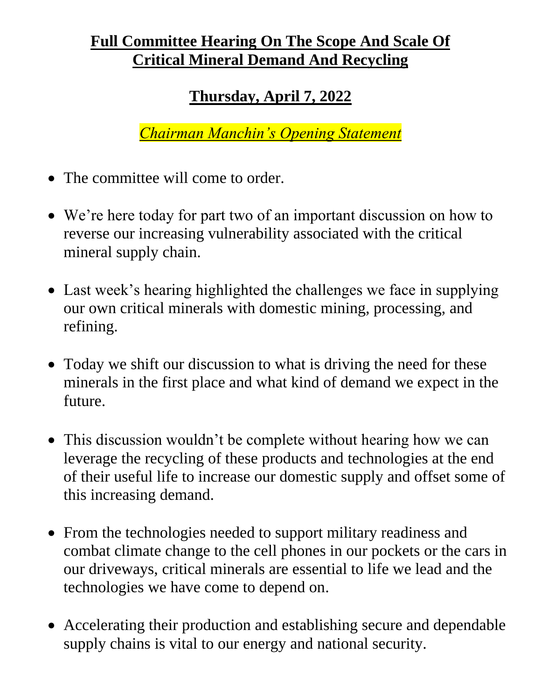## **Full Committee Hearing On The Scope And Scale Of Critical Mineral Demand And Recycling**

## **Thursday, April 7, 2022**

*Chairman Manchin's Opening Statement*

- The committee will come to order.
- We're here today for part two of an important discussion on how to reverse our increasing vulnerability associated with the critical mineral supply chain.
- Last week's hearing highlighted the challenges we face in supplying our own critical minerals with domestic mining, processing, and refining.
- Today we shift our discussion to what is driving the need for these minerals in the first place and what kind of demand we expect in the future.
- This discussion wouldn't be complete without hearing how we can leverage the recycling of these products and technologies at the end of their useful life to increase our domestic supply and offset some of this increasing demand.
- From the technologies needed to support military readiness and combat climate change to the cell phones in our pockets or the cars in our driveways, critical minerals are essential to life we lead and the technologies we have come to depend on.
- Accelerating their production and establishing secure and dependable supply chains is vital to our energy and national security.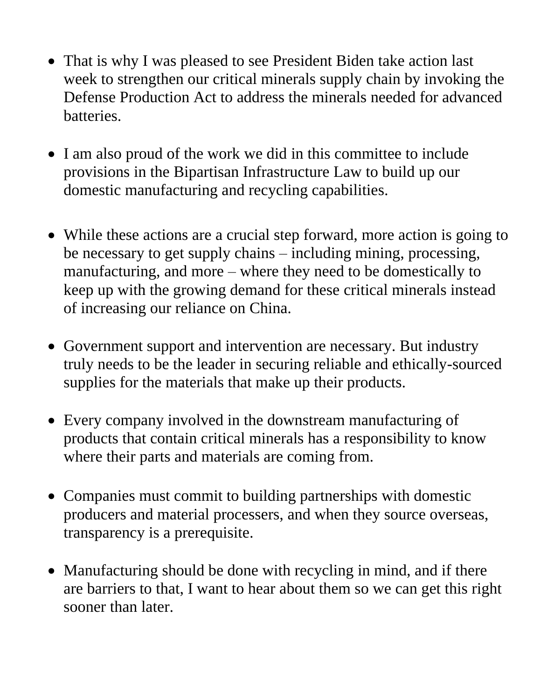- That is why I was pleased to see President Biden take action last week to strengthen our critical minerals supply chain by invoking the Defense Production Act to address the minerals needed for advanced batteries.
- I am also proud of the work we did in this committee to include provisions in the Bipartisan Infrastructure Law to build up our domestic manufacturing and recycling capabilities.
- While these actions are a crucial step forward, more action is going to be necessary to get supply chains – including mining, processing, manufacturing, and more – where they need to be domestically to keep up with the growing demand for these critical minerals instead of increasing our reliance on China.
- Government support and intervention are necessary. But industry truly needs to be the leader in securing reliable and ethically-sourced supplies for the materials that make up their products.
- Every company involved in the downstream manufacturing of products that contain critical minerals has a responsibility to know where their parts and materials are coming from.
- Companies must commit to building partnerships with domestic producers and material processers, and when they source overseas, transparency is a prerequisite.
- Manufacturing should be done with recycling in mind, and if there are barriers to that, I want to hear about them so we can get this right sooner than later.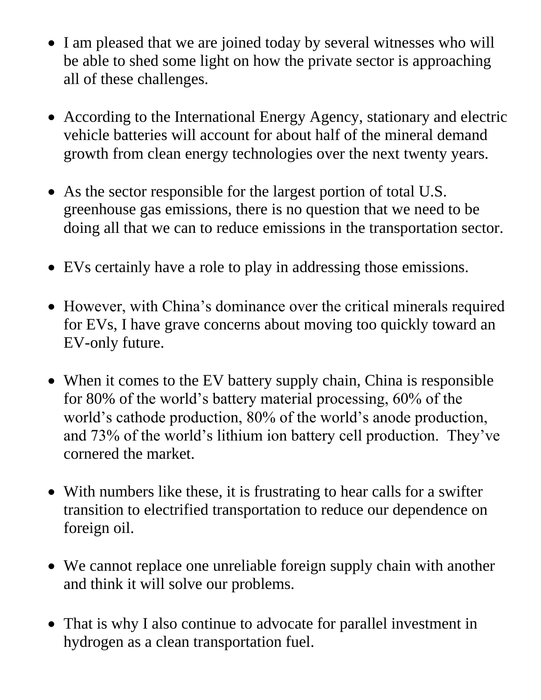- I am pleased that we are joined today by several witnesses who will be able to shed some light on how the private sector is approaching all of these challenges.
- According to the International Energy Agency, stationary and electric vehicle batteries will account for about half of the mineral demand growth from clean energy technologies over the next twenty years.
- As the sector responsible for the largest portion of total U.S. greenhouse gas emissions, there is no question that we need to be doing all that we can to reduce emissions in the transportation sector.
- EVs certainly have a role to play in addressing those emissions.
- However, with China's dominance over the critical minerals required for EVs, I have grave concerns about moving too quickly toward an EV-only future.
- When it comes to the EV battery supply chain, China is responsible for 80% of the world's battery material processing, 60% of the world's cathode production, 80% of the world's anode production, and 73% of the world's lithium ion battery cell production. They've cornered the market.
- With numbers like these, it is frustrating to hear calls for a swifter transition to electrified transportation to reduce our dependence on foreign oil.
- We cannot replace one unreliable foreign supply chain with another and think it will solve our problems.
- That is why I also continue to advocate for parallel investment in hydrogen as a clean transportation fuel.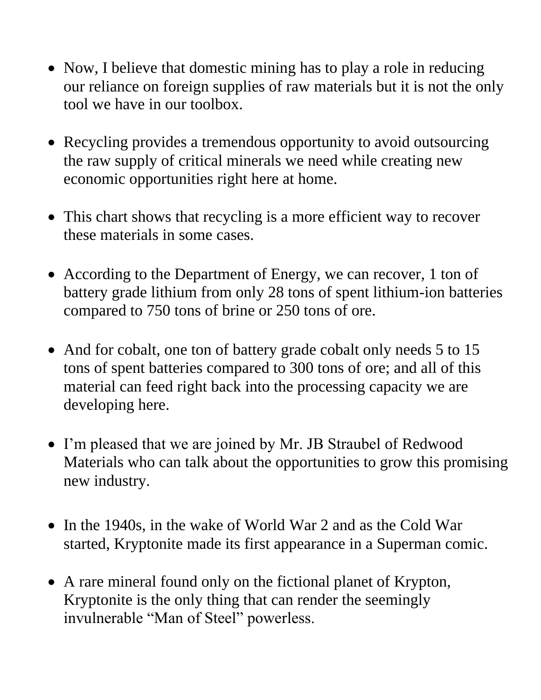- Now, I believe that domestic mining has to play a role in reducing our reliance on foreign supplies of raw materials but it is not the only tool we have in our toolbox.
- Recycling provides a tremendous opportunity to avoid outsourcing the raw supply of critical minerals we need while creating new economic opportunities right here at home.
- This chart shows that recycling is a more efficient way to recover these materials in some cases.
- According to the Department of Energy, we can recover, 1 ton of battery grade lithium from only 28 tons of spent lithium-ion batteries compared to 750 tons of brine or 250 tons of ore.
- And for cobalt, one ton of battery grade cobalt only needs 5 to 15 tons of spent batteries compared to 300 tons of ore; and all of this material can feed right back into the processing capacity we are developing here.
- I'm pleased that we are joined by Mr. JB Straubel of Redwood Materials who can talk about the opportunities to grow this promising new industry.
- In the 1940s, in the wake of World War 2 and as the Cold War started, Kryptonite made its first appearance in a Superman comic.
- A rare mineral found only on the fictional planet of Krypton, Kryptonite is the only thing that can render the seemingly invulnerable "Man of Steel" powerless.